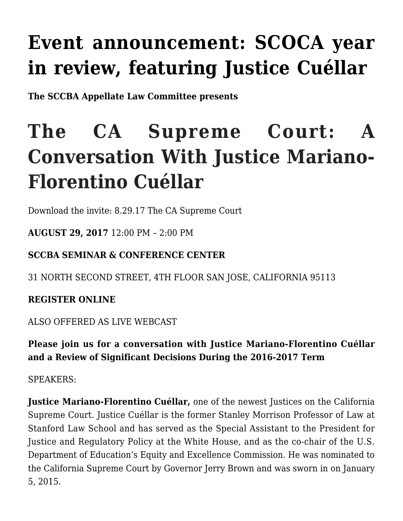## **[Event announcement: SCOCA year](http://scocablog.com/event-announcement-scoca-year-in-review-featuring-justice-cuellar/) [in review, featuring Justice Cuéllar](http://scocablog.com/event-announcement-scoca-year-in-review-featuring-justice-cuellar/)**

**The SCCBA Appellate Law Committee presents**

# **The CA Supreme Court: A Conversation With Justice Mariano-Florentino Cuéllar**

Download the invite: [8.29.17 The CA Supreme Court](http://scocablog.com/wp-content/uploads/2017/08/8.29.17-The-CA-Supreme-Court.pdf)

**AUGUST 29, 2017** 12:00 PM – 2:00 PM

### **SCCBA SEMINAR & CONFERENCE CENTER**

31 NORTH SECOND STREET, 4TH FLOOR SAN JOSE, CALIFORNIA 95113

**[REGISTER ONLINE](https://www.sccba.com/events/register.aspx?id=990060)**

[ALSO OFFERED AS LIVE WEBCAST](https://www.sccba.com/events/register.aspx?id=990060)

**Please join us for a conversation with Justice Mariano-Florentino Cuéllar and a Review of Significant Decisions During the 2016-2017 Term**

SPEAKERS:

**[Justice Mariano-Florentino](https://www.sccba.com/members/default.asp?pubview=1&id=49342836) [Cuéllar,](https://www.sccba.com/members/default.asp?pubview=1&id=49342836)** one of the newest Justices on the California Supreme Court. Justice Cuéllar is the former Stanley Morrison Professor of Law at Stanford Law School and has served as the Special Assistant to the President for Justice and Regulatory Policy at the White House, and as the co-chair of the U.S. Department of Education's Equity and Excellence Commission. He was nominated to the California Supreme Court by Governor Jerry Brown and was sworn in on January 5, 2015.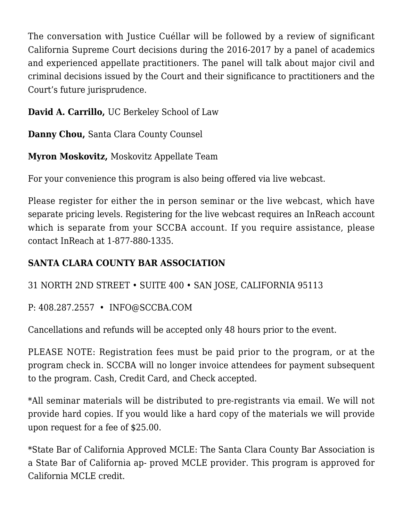The conversation with Justice Cuéllar will be followed by a review of significant California Supreme Court decisions during the 2016-2017 by a panel of academics and experienced appellate practitioners. The panel will talk about major civil and criminal decisions issued by the Court and their significance to practitioners and the Court's future jurisprudence.

**[David A. Carrillo,](https://www.sccba.com/members/default.asp?pubview=1&id=39263759)** UC Berkeley School of Law

**[Danny Chou,](https://www.sccba.com/members/default.asp?pubview=1&id=39263560)** Santa Clara County Counsel

**[Myron Moskovitz,](https://www.sccba.com/members/default.asp?pubview=1&id=49342813)** Moskovitz Appellate Team

For your convenience this program is also being offered via live webcast.

Please register for either the in person seminar or the live webcast, which have separate pricing levels. Registering for the live webcast requires an InReach account which is separate from your SCCBA account. If you require assistance, please contact InReach at 1-877-880-1335.

### **SANTA CLARA COUNTY BAR ASSOCIATION**

31 NORTH 2ND STREET • SUITE 400 • SAN JOSE, CALIFORNIA 95113

P: 408.287.2557 • [INFO@SCCBA.COM](mailto:INFO@SCCBA.COM)

Cancellations and refunds will be accepted only 48 hours prior to the event.

PLEASE NOTE: Registration fees must be paid prior to the program, or at the program check in. SCCBA will no longer invoice attendees for payment subsequent to the program. Cash, Credit Card, and Check accepted.

\*All seminar materials will be distributed to pre-registrants via email. We will not provide hard copies. If you would like a hard copy of the materials we will provide upon request for a fee of \$25.00.

\*State Bar of California Approved MCLE: The Santa Clara County Bar Association is a State Bar of California ap- proved MCLE provider. This program is approved for California MCLE credit.